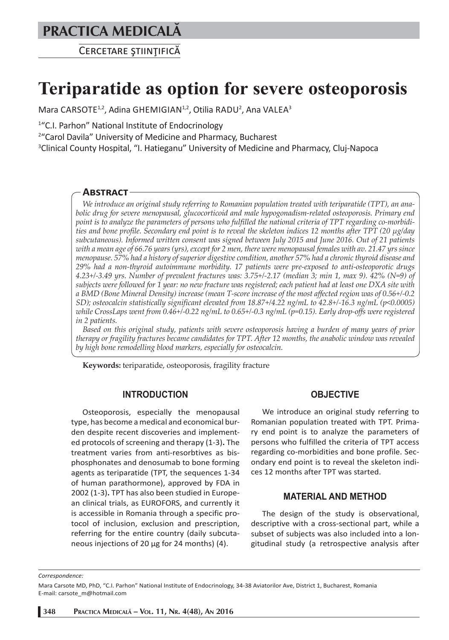# **PRACTICA MEDICALÅ**

CERCETARE STIINTIFICĂ

# **Teriparatide as option for severe osteoporosis**

Mara CARSOTE<sup>1,2</sup>, Adina GHEMIGIAN<sup>1,2</sup>, Otilia RADU<sup>2</sup>, Ana VALEA<sup>3</sup>

<sup>1</sup>"C.I. Parhon" National Institute of Endocrinology

2 "Carol Davila" University of Medicine and Pharmacy, Bucharest

<sup>3</sup>Clinical County Hospital, "I. Hatieganu" University of Medicine and Pharmacy, Cluj-Napoca

# **ABSTRACT**

*We introduce an original study referring to Romanian population treated with teriparatide (TPT), an anabolic drug for severe menopausal, glucocorticoid and male hypogonadism-related osteoporosis. Primary end point is to analyze the parameters of persons who fulfilled the national criteria of TPT regarding co-morbidities and bone profile. Secondary end point is to reveal the skeleton indices 12 months after TPT (20 μg/day subcutaneous). Informed written consent was signed between July 2015 and June 2016. Out of 21 patients with a mean age of 66.76 years (yrs), except for 2 men, there were menopausal females with av. 21.47 yrs since menopause. 57% had a history of superior digestive condition, another 57% had a chronic thyroid disease and 29% had a non-thyroid autoimmune morbidity. 17 patients were pre-exposed to anti-osteoporotic drugs 4.23+/-3.49 yrs. Number of prevalent fractures was: 3.75+/-2.17 (median 3; min 1, max 9). 42% (N=9) of subjects were followed for 1 year: no new fracture was registered; each patient had at least one DXA site with a BMD (Bone Mineral Density) increase (mean T-score increase of the most affected region was of 0.56+/-0.2 SD); osteocalcin statistically significant elevated from 18.87+/4.22 ng/mL to 42.8+/-16.3 ng/mL (p<0.0005) while CrossLaps went from 0.46+/-0.22 ng/mL to 0.65+/-0.3 ng/mL (p=0.15). Early drop-offs were registered in 2 patients.* 

*Based on this original study, patients with severe osteoporosis having a burden of many years of prior therapy or fragility fractures became candidates for TPT. After 12 months, the anabolic window was revealed by high bone remodelling blood markers, especially for osteocalcin.*

**Keywords:** teriparatide, osteoporosis, fragility fracture

#### **INTRODUCTION**

Osteoporosis, especially the menopausal type, has become a medical and economical burden despite recent discoveries and implemented protocols of screening and therapy (1-3)**.** The treatment varies from anti-resorbtives as bisphosphonates and denosumab to bone forming agents as teriparatide (TPT, the sequences 1-34 of human parathormone), approved by FDA in 2002 (1-3)**.** TPT has also been studied in European clinical trials, as EUROFORS, and currently it is accessible in Romania through a specific protocol of inclusion, exclusion and prescription, referring for the entire country (daily subcutaneous injections of 20 μg for 24 months) (4).

#### **OBJECTIVE**

We introduce an original study referring to Romanian population treated with TPT. Primary end point is to analyze the parameters of persons who fulfilled the criteria of TPT access regarding co-morbidities and bone profile. Secondary end point is to reveal the skeleton indices 12 months after TPT was started.

#### **MATERIAL AND METHOD**

The design of the study is observational, descriptive with a cross-sectional part, while a subset of subjects was also included into a longitudinal study (a retrospective analysis after

*Correspondence:* 

Mara Carsote MD, PhD, "C.I. Parhon" National Institute of Endocrinology, 34-38 Aviatorilor Ave, District 1, Bucharest, Romania E-mail: carsote\_m@hotmail.com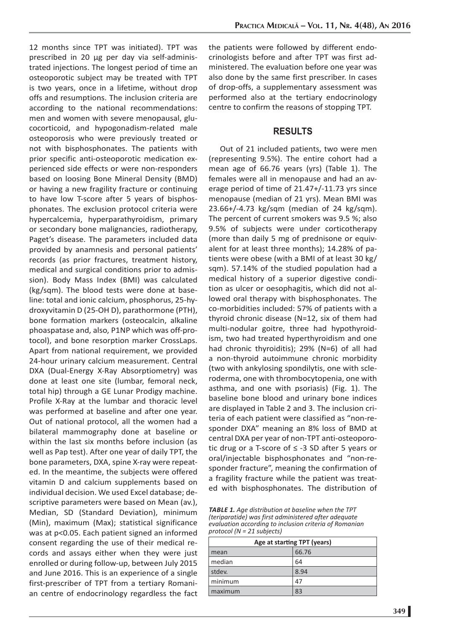12 months since TPT was initiated). TPT was prescribed in 20 μg per day via self-administrated injections. The longest period of time an osteoporotic subject may be treated with TPT is two years, once in a lifetime, without drop offs and resumptions. The inclusion criteria are according to the national recommendations: men and women with severe menopausal, glucocorticoid, and hypogonadism-related male osteoporosis who were previously treated or not with bisphosphonates. The patients with prior specific anti-osteoporotic medication experienced side effects or were non-responders based on loosing Bone Mineral Density (BMD) or having a new fragility fracture or continuing to have low T-score after 5 years of bisphosphonates. The exclusion protocol criteria were hypercalcemia, hyperparathyroidism, primary or secondary bone malignancies, radiotherapy, Paget's disease. The parameters included data provided by anamnesis and personal patients' records (as prior fractures, treatment history, medical and surgical conditions prior to admission). Body Mass Index (BMI) was calculated (kg/sqm). The blood tests were done at baseline: total and ionic calcium, phosphorus, 25-hydroxyvitamin D (25-OH D), parathormone (PTH), bone formation markers (osteocalcin, alkaline phoaspatase and, also, P1NP which was off-protocol), and bone resorption marker CrossLaps. Apart from national requirement, we provided 24-hour urinary calcium measurement. Central DXA (Dual-Energy X-Ray Absorptiometry) was done at least one site (lumbar, femoral neck, total hip) through a GE Lunar Prodigy machine. Profile X-Ray at the lumbar and thoracic level was performed at baseline and after one year. Out of national protocol, all the women had a bilateral mammography done at baseline or within the last six months before inclusion (as well as Pap test). After one year of daily TPT, the bone parameters, DXA, spine X-ray were repeated. In the meantime, the subjects were offered vitamin D and calcium supplements based on individual decision. We used Excel database; descriptive parameters were based on Mean (av.), Median, SD (Standard Deviation), minimum (Min), maximum (Max); statistical significance was at p<0.05. Each patient signed an informed consent regarding the use of their medical records and assays either when they were just enrolled or during follow-up, between July 2015 and June 2016. This is an experience of a single first-prescriber of TPT from a tertiary Romanian centre of endocrinology regardless the fact the patients were followed by different endocrinologists before and after TPT was first administered. The evaluation before one year was also done by the same first prescriber. In cases of drop-offs, a supplementary assessment was performed also at the tertiary endocrinology centre to confirm the reasons of stopping TPT.

# **RESULTS**

Out of 21 included patients, two were men (representing 9.5%). The entire cohort had a mean age of 66.76 years (yrs) (Table 1). The females were all in menopause and had an average period of time of 21.47+/-11.73 yrs since menopause (median of 21 yrs). Mean BMI was 23.66+/-4.73 kg/sqm (median of 24 kg/sqm). The percent of current smokers was 9.5 %; also 9.5% of subjects were under corticotherapy (more than daily 5 mg of prednisone or equivalent for at least three months); 14.28% of patients were obese (with a BMI of at least 30 kg/ sqm). 57.14% of the studied population had a medical history of a superior digestive condition as ulcer or oesophagitis, which did not allowed oral therapy with bisphosphonates. The co-morbidities included: 57% of patients with a thyroid chronic disease (N=12, six of them had multi-nodular goitre, three had hypothyroidism, two had treated hyperthyroidism and one had chronic thyroiditis); 29% (N=6) of all had a non-thyroid autoimmune chronic morbidity (two with ankylosing spondilytis, one with scleroderma, one with thrombocytopenia, one with asthma, and one with psoriasis) (Fig. 1). The baseline bone blood and urinary bone indices are displayed in Table 2 and 3. The inclusion criteria of each patient were classified as "non-responder DXA" meaning an 8% loss of BMD at central DXA per year of non-TPT anti-osteoporotic drug or a T-score of ≤ -3 SD after 5 years or oral/injectable bisphosphonates and "non-responder fracture", meaning the confirmation of a fragility fracture while the patient was treated with bisphosphonates. The distribution of

*TABLE 1. Age distribution at baseline when the TPT (teriparatide) was first administered after adequate evaluation according to inclusion criteria of Romanian protocol (N = 21 subjects)* 

| Age at starting TPT (years) |       |  |  |
|-----------------------------|-------|--|--|
| mean                        | 66.76 |  |  |
| median                      | 64    |  |  |
| stdev.                      | 8.94  |  |  |
| minimum                     | 47    |  |  |
| maximum                     | 83    |  |  |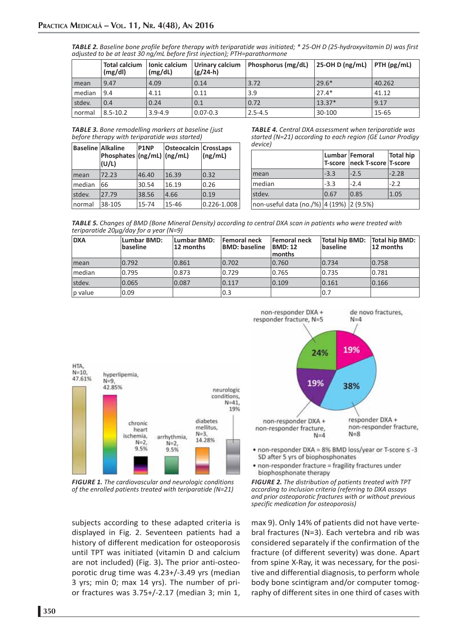| <b>TABLE 2.</b> Baseline bone profile before therapy with teriparatide was initiated; * 25-OH D (25-hydroxyvitamin D) was first |  |
|---------------------------------------------------------------------------------------------------------------------------------|--|
| adjusted to be at least 30 ng/mL before first injection); PTH=parathormone                                                      |  |

|        | <b>Total calcium</b><br>(mg/dl) | lonic calcium<br>(mg/dL) | Urinary calcium<br>$(g/24-h)$ | Phosphorus (mg/dL) | 25-OH D (ng/mL) | $ $ PTH (pg/mL) |
|--------|---------------------------------|--------------------------|-------------------------------|--------------------|-----------------|-----------------|
| l mean | 9.47                            | 4.09                     | 0.14                          | 3.72               | $29.6*$         | 40.262          |
| median | 9.4                             | 4.11                     | 0.11                          | 3.9                | $27.4*$         | 41.12           |
| stdev. | 0.4                             | 0.24                     | 0.1                           | 0.72               | $13.37*$        | 9.17            |
| normal | $8.5 - 10.2$                    | $3.9 - 4.9$              | $0.07 - 0.3$                  | $2.5 - 4.5$        | 30-100          | 15-65           |

*TABLE 3. Bone remodelling markers at baseline (just before therapy with teriparatide was started)*

| <b>Baseline Alkaline</b> | Phosphates $(ng/mL)$ $(ng/mL)$<br>(U/L) | P1NP  | <b>Osteocalcin CrossLaps</b> | (ng/mL)     |
|--------------------------|-----------------------------------------|-------|------------------------------|-------------|
| mean                     | 72.23                                   | 46.40 | 16.39                        | 0.32        |
| median                   | 66                                      | 30.54 | 16.19                        | 0.26        |
| stdev.                   | 27.79                                   | 38.56 | 4.66                         | 0.19        |
| normal                   | 38-105                                  | 15-74 | 15-46                        | 0.226-1.008 |

*TABLE 4. Central DXA assessment when teriparatide was started (N=21) according to each region (GE Lunar Prodigy device)*

|                                          |        | Lumbar Femoral<br>T-score neck T-score T-score | Total hip |
|------------------------------------------|--------|------------------------------------------------|-----------|
| mean                                     | $-3.3$ | $ -2.5$                                        | $-2.28$   |
| median                                   | $-3.3$ | $-2.4$                                         | $-2.2$    |
| stdev.                                   | 0.67   | 0.85                                           | 1.05      |
| non-useful data (no./%) 4 (19%) 2 (9.5%) |        |                                                |           |

*TABLE 5. Changes of BMD (Bone Mineral Density) according to central DXA scan in patients who were treated with teriparatide 20μg/day for a year (N=9)*

| <b>DXA</b> | Lumbar BMD:<br>baseline | Lumbar BMD:<br>12 months | <b>Femoral neck</b><br><b>BMD: baseline</b> | <b>Femoral neck</b><br><b>BMD: 12</b><br><b>months</b> | Total hip BMD: Total hip BMD:<br><b>baseline</b> | 12 months |
|------------|-------------------------|--------------------------|---------------------------------------------|--------------------------------------------------------|--------------------------------------------------|-----------|
| mean       | 0.792                   | 0.861                    | 0.702                                       | 0.760                                                  | 0.734                                            | 0.758     |
| Imedian    | 0.795                   | 0.873                    | 0.729                                       | 0.765                                                  | 0.735                                            | 0.781     |
| stdev.     | 0.065                   | 0.087                    | 0.117                                       | 0.109                                                  | 0.161                                            | 0.166     |
| $ p$ value | 0.09                    |                          | 0.3                                         |                                                        | 0.7                                              |           |



*FIGURE 1. The cardiovascular and neurologic conditions of the enrolled patients treated with teriparatide (N=21)*

subjects according to these adapted criteria is displayed in Fig. 2. Seventeen patients had a history of different medication for osteoporosis until TPT was initiated (vitamin D and calcium are not included) (Fig. 3)**.** The prior anti-osteoporotic drug time was 4.23+/-3.49 yrs (median 3 yrs; min 0; max 14 yrs). The number of prior fractures was 3.75+/-2.17 (median 3; min 1,



- non-responder DXA = 8% BMD loss/year or T-score ≤ -3 SD after 5 yrs of biophosphonates
- non-responder fracture = fragility fractures under biophosphonate therapy



max 9). Only 14% of patients did not have vertebral fractures (N=3). Each vertebra and rib was considered separately if the confirmation of the fracture (of different severity) was done. Apart from spine X-Ray, it was necessary, for the positive and differential diagnosis, to perform whole body bone scintigram and/or computer tomography of different sites in one third of cases with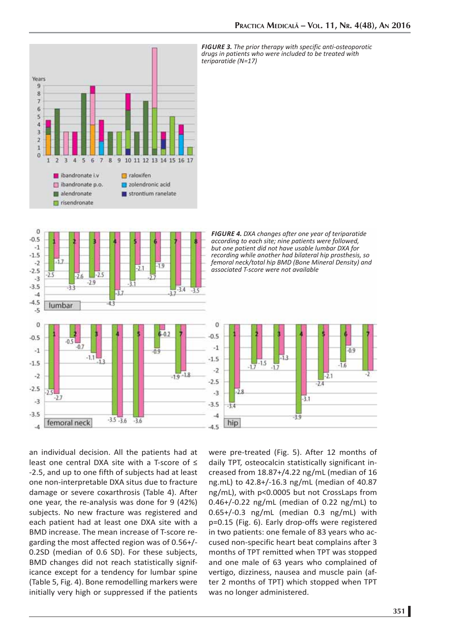

*FIGURE 3. The prior therapy with specific anti-osteoporotic drugs in patients who were included to be treated with teriparatide (N=17)*



*FIGURE 4. DXA changes after one year of teriparatide according to each site; nine patients were followed, but one patient did not have usable lumbar DXA for recording while another had bilateral hip prosthesis, so femoral neck/total hip BMD (Bone Mineral Density) and associated T-score were not available* 



an individual decision. All the patients had at least one central DXA site with a T-score of ≤ -2.5, and up to one fifth of subjects had at least one non-interpretable DXA situs due to fracture damage or severe coxarthrosis (Table 4). After one year, the re-analysis was done for 9 (42%) subjects. No new fracture was registered and each patient had at least one DXA site with a BMD increase. The mean increase of T-score regarding the most affected region was of 0.56+/- 0.2SD (median of 0.6 SD). For these subjects, BMD changes did not reach statistically significance except for a tendency for lumbar spine (Table 5, Fig. 4). Bone remodelling markers were initially very high or suppressed if the patients

were pre-treated (Fig. 5). After 12 months of daily TPT, osteocalcin statistically significant increased from 18.87+/4.22 ng/mL (median of 16 ng.mL) to 42.8+/-16.3 ng/mL (median of 40.87 ng/mL), with p<0.0005 but not CrossLaps from 0.46+/-0.22 ng/mL (median of 0.22 ng/mL) to 0.65+/-0.3 ng/mL (median 0.3 ng/mL) with p=0.15 (Fig. 6). Early drop-offs were registered in two patients: one female of 83 years who accused non-specific heart beat complains after 3 months of TPT remitted when TPT was stopped and one male of 63 years who complained of vertigo, dizziness, nausea and muscle pain (after 2 months of TPT) which stopped when TPT was no longer administered.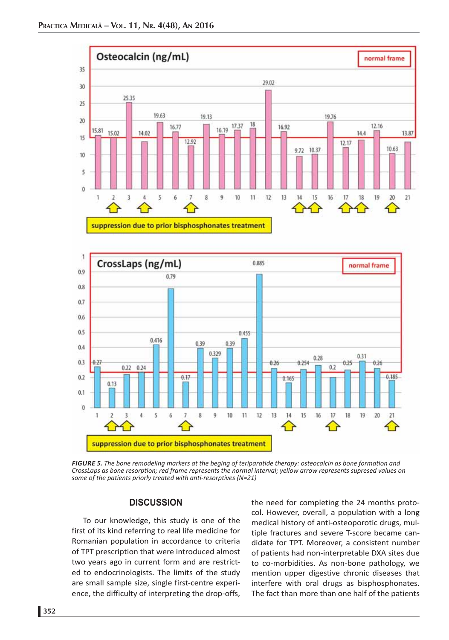



*FIGURE 5. The bone remodeling markers at the beging of teriparatide therapy: osteocalcin as bone formation and CrossLaps as bone resorption; red frame represents the normal interval; yellow arrow represents supresed values on some of the patients priorly treated with anti-resorptives (N=21)*

#### **DISCUSSION**

To our knowledge, this study is one of the first of its kind referring to real life medicine for Romanian population in accordance to criteria of TPT prescription that were introduced almost two years ago in current form and are restricted to endocrinologists. The limits of the study are small sample size, single first-centre experience, the difficulty of interpreting the drop-offs,

the need for completing the 24 months protocol. However, overall, a population with a long medical history of anti-osteoporotic drugs, multiple fractures and severe T-score became candidate for TPT. Moreover, a consistent number of patients had non-interpretable DXA sites due to co-morbidities. As non-bone pathology, we mention upper digestive chronic diseases that interfere with oral drugs as bisphosphonates. The fact than more than one half of the patients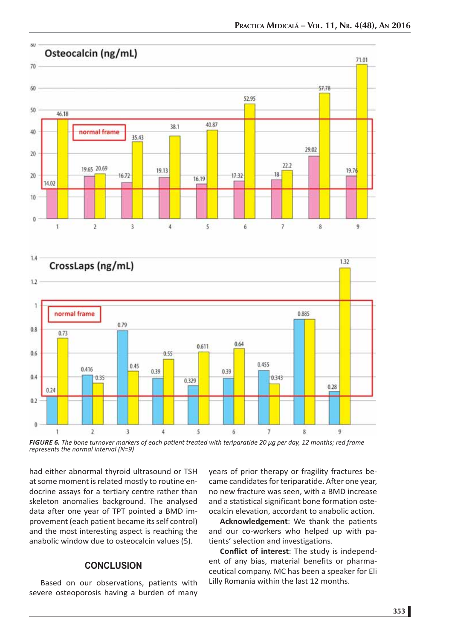

*FIGURE 6. The bone turnover markers of each patient treated with teriparatide 20 μg per day, 12 months; red frame represents the normal interval (N=9)*

had either abnormal thyroid ultrasound or TSH at some moment is related mostly to routine endocrine assays for a tertiary centre rather than skeleton anomalies background. The analysed data after one year of TPT pointed a BMD improvement (each patient became its self control) and the most interesting aspect is reaching the anabolic window due to osteocalcin values (5).

## **CONCLUSION**

Based on our observations, patients with severe osteoporosis having a burden of many years of prior therapy or fragility fractures became candidates for teriparatide. After one year, no new fracture was seen, with a BMD increase and a statistical significant bone formation osteocalcin elevation, accordant to anabolic action.

**Acknowledgement**: We thank the patients and our co-workers who helped up with patients' selection and investigations.

**Conflict of interest**: The study is independent of any bias, material benefits or pharmaceutical company. MC has been a speaker for Eli Lilly Romania within the last 12 months.